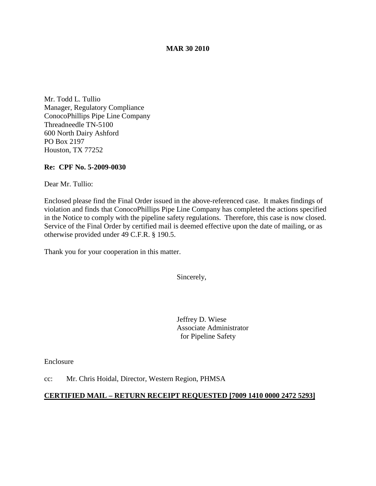## **MAR 30 2010**

Mr. Todd L. Tullio Manager, Regulatory Compliance ConocoPhillips Pipe Line Company Threadneedle TN-5100 600 North Dairy Ashford PO Box 2197 Houston, TX 77252

## **Re: CPF No. 5-2009-0030**

Dear Mr. Tullio:

Enclosed please find the Final Order issued in the above-referenced case. It makes findings of violation and finds that ConocoPhillips Pipe Line Company has completed the actions specified in the Notice to comply with the pipeline safety regulations. Therefore, this case is now closed. Service of the Final Order by certified mail is deemed effective upon the date of mailing, or as otherwise provided under 49 C.F.R. § 190.5.

Thank you for your cooperation in this matter.

Sincerely,

Jeffrey D. Wiese Associate Administrator for Pipeline Safety

Enclosure

cc: Mr. Chris Hoidal, Director, Western Region, PHMSA

## **CERTIFIED MAIL – RETURN RECEIPT REQUESTED [7009 1410 0000 2472 5293]**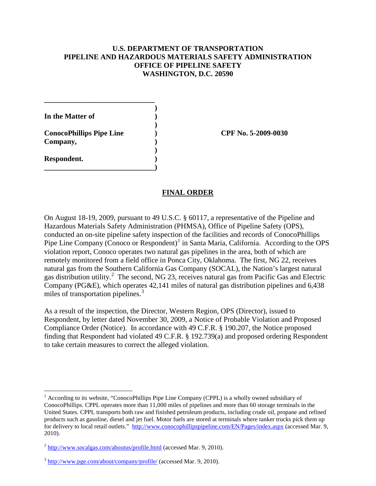# **U.S. DEPARTMENT OF TRANSPORTATION PIPELINE AND HAZARDOUS MATERIALS SAFETY ADMINISTRATION OFFICE OF PIPELINE SAFETY WASHINGTON, D.C. 20590**

**In the Matter of )**

**Respondent. )**

**ConocoPhillips Pipe Line ) CPF No. 5-2009-0030 Company, )**

**\_\_\_\_\_\_\_\_\_\_\_\_\_\_\_\_\_\_\_\_\_\_\_\_\_\_\_\_\_\_**

**\_\_\_\_\_\_\_\_\_\_\_\_\_\_\_\_\_\_\_\_\_\_\_\_\_\_\_\_\_\_)**

**)**

**)**

**)**

On August 18-19, 2009, pursuant to 49 U.S.C. § 60117, a representative of the Pipeline and Hazardous Materials Safety Administration (PHMSA), Office of Pipeline Safety (OPS), conducted an on-site pipeline safety inspection of the facilities and records of ConocoPhillips Pipe Line Company (Conoco or Respondent)<sup>[1](#page-1-0)</sup> in Santa Maria, California. According to the OPS violation report, Conoco operates two natural gas pipelines in the area, both of which are remotely monitored from a field office in Ponca City, Oklahoma. The first, NG 22, receives natural gas from the Southern California Gas Company (SOCAL), the Nation's largest natural gas distribution utility.<sup>[2](#page-1-1)</sup> The second, NG 23, receives natural gas from Pacific Gas and Electric Company (PG&E), which operates 42,141 miles of natural gas distribution pipelines and 6,438 miles of transportation pipelines.<sup>[3](#page-1-2)</sup>

**FINAL ORDER**

As a result of the inspection, the Director, Western Region, OPS (Director), issued to Respondent, by letter dated November 30, 2009, a Notice of Probable Violation and Proposed Compliance Order (Notice). In accordance with 49 C.F.R. § 190.207, the Notice proposed finding that Respondent had violated 49 C.F.R. § 192.739(a) and proposed ordering Respondent to take certain measures to correct the alleged violation.

<span id="page-1-0"></span><sup>&</sup>lt;sup>1</sup> According to its website, "ConocoPhillips Pipe Line Company (CPPL) is a wholly owned subsidiary of ConocoPhillips. CPPL operates more than 11,000 miles of pipelines and more than 60 storage terminals in the United States. CPPL transports both raw and finished petroleum products, including crude oil, propane and refined products such as gasoline, diesel and jet fuel. Motor fuels are stored at terminals where tanker trucks pick them up for delivery to local retail outlets." <http://www.conocophillipspipeline.com/EN/Pages/index.aspx> (accessed Mar. 9, 2010).

<span id="page-1-1"></span> $^{2}$  <http://www.socalgas.com/aboutus/profile.html> (accessed Mar. 9, 2010).

<span id="page-1-2"></span> $3 \text{ http://www.pge.com/about/company/profile/} (accessed Mar. 9, 2010).$  $3 \text{ http://www.pge.com/about/company/profile/} (accessed Mar. 9, 2010).$  $3 \text{ http://www.pge.com/about/company/profile/} (accessed Mar. 9, 2010).$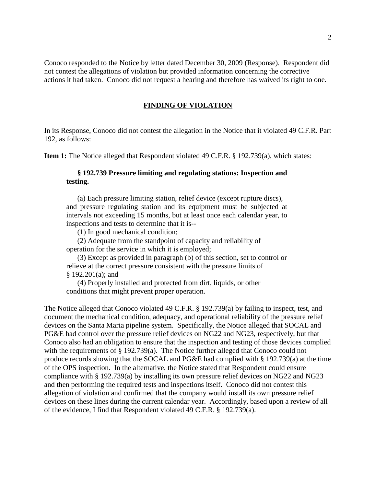Conoco responded to the Notice by letter dated December 30, 2009 (Response). Respondent did not contest the allegations of violation but provided information concerning the corrective actions it had taken. Conoco did not request a hearing and therefore has waived its right to one.

### **FINDING OF VIOLATION**

In its Response, Conoco did not contest the allegation in the Notice that it violated 49 C.F.R. Part 192, as follows:

**Item 1:** The Notice alleged that Respondent violated 49 C.F.R. § 192.739(a), which states:

## **§ 192.739 Pressure limiting and regulating stations: Inspection and testing.**

(a) Each pressure limiting station, relief device (except rupture discs), and pressure regulating station and its equipment must be subjected at intervals not exceeding 15 months, but at least once each calendar year, to inspections and tests to determine that it is--

(1) In good mechanical condition;

(2) Adequate from the standpoint of capacity and reliability of operation for the service in which it is employed;

(3) Except as provided in paragraph (b) of this section, set to control or relieve at the correct pressure consistent with the pressure limits of § 192.201(a); and

(4) Properly installed and protected from dirt, liquids, or other conditions that might prevent proper operation.

The Notice alleged that Conoco violated 49 C.F.R. § 192.739(a) by failing to inspect, test, and document the mechanical condition, adequacy, and operational reliability of the pressure relief devices on the Santa Maria pipeline system. Specifically, the Notice alleged that SOCAL and PG&E had control over the pressure relief devices on NG22 and NG23, respectively, but that Conoco also had an obligation to ensure that the inspection and testing of those devices complied with the requirements of § 192.739(a). The Notice further alleged that Conoco could not produce records showing that the SOCAL and PG&E had complied with § 192.739(a) at the time of the OPS inspection. In the alternative, the Notice stated that Respondent could ensure compliance with § 192.739(a) by installing its own pressure relief devices on NG22 and NG23 and then performing the required tests and inspections itself. Conoco did not contest this allegation of violation and confirmed that the company would install its own pressure relief devices on these lines during the current calendar year. Accordingly, based upon a review of all of the evidence, I find that Respondent violated 49 C.F.R. § 192.739(a).